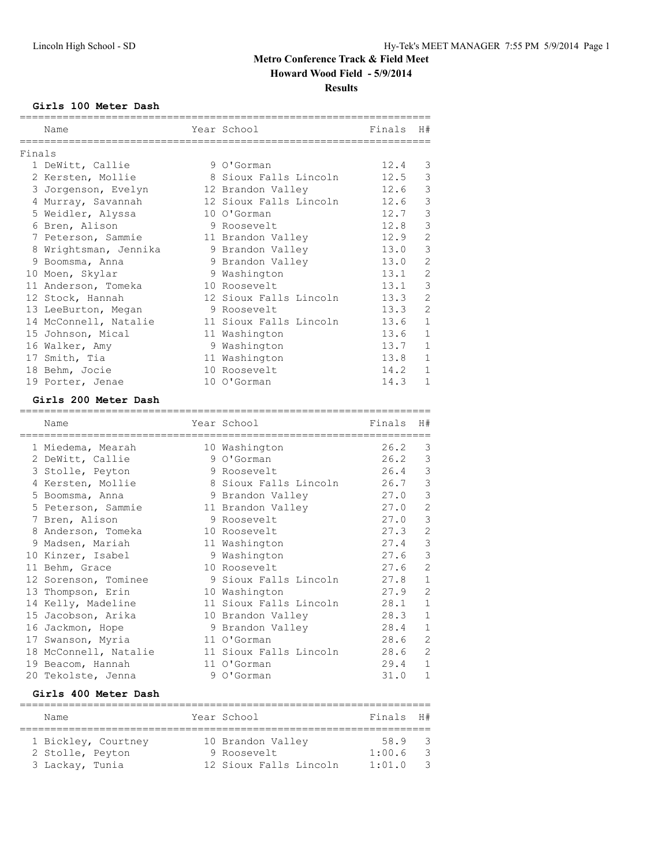## **Girls 100 Meter Dash**

|        | Name                  | Year School            | Finals | H#             |
|--------|-----------------------|------------------------|--------|----------------|
| Finals |                       |                        |        |                |
|        | 1 DeWitt, Callie      | 9 O'Gorman             | 12.4   | 3              |
|        | 2 Kersten, Mollie     | 8 Sioux Falls Lincoln  | 12.5   | $\mathsf 3$    |
|        | 3 Jorgenson, Evelyn   | 12 Brandon Valley      | 12.6   | $\mathcal{S}$  |
|        | 4 Murray, Savannah    | 12 Sioux Falls Lincoln | 12.6   | $\mathsf 3$    |
|        | 5 Weidler, Alyssa     | 10 O'Gorman            | 12.7   | $\mathcal{E}$  |
|        | 6 Bren, Alison        | 9 Roosevelt            | 12.8   | $\mathfrak{Z}$ |
|        | 7 Peterson, Sammie    | 11 Brandon Valley      | 12.9   | $\mathbf{2}$   |
|        | 8 Wrightsman, Jennika | 9 Brandon Valley       | 13.0   | $\mathcal{E}$  |
|        | 9 Boomsma, Anna       | 9 Brandon Valley       | 13.0   | $\mathbf{2}$   |
|        | 10 Moen, Skylar       | 9 Washington           | 13.1   | $\overline{c}$ |
|        | 11 Anderson, Tomeka   | 10 Roosevelt           | 13.1   | $\mathcal{S}$  |
|        | 12 Stock, Hannah      | 12 Sioux Falls Lincoln | 13.3   | 2              |
|        | 13 LeeBurton, Megan   | 9 Roosevelt            | 13.3   | $\mathbf{2}$   |
|        | 14 McConnell, Natalie | 11 Sioux Falls Lincoln | 13.6   | $\mathbf{1}$   |
|        | 15 Johnson, Mical     | 11 Washington          | 13.6   | $1\,$          |
|        | 16 Walker, Amy        | 9 Washington           | 13.7   | $\mathbf 1$    |
|        | 17 Smith, Tia         | 11 Washington          | 13.8   | $\mathbf{1}$   |
|        | 18 Behm, Jocie        | 10 Roosevelt           | 14.2   | $\mathbf{1}$   |
|        | 19 Porter, Jenae      | 10 O'Gorman            | 14.3   | $\mathbf 1$    |

## **Girls 200 Meter Dash**

| Name                 | Year School                                  | Finals | H#             |
|----------------------|----------------------------------------------|--------|----------------|
| 1 Miedema, Mearah    | 10 Washington                                | 26.2   | 3              |
| 2 DeWitt, Callie     | 9 O'Gorman                                   | 26.2   | 3              |
| 3 Stolle, Peyton     | 9 Roosevelt                                  | 26.4   | 3              |
| 4 Kersten, Mollie    | 8 Sioux Falls Lincoln 26.7                   |        | $\mathcal{S}$  |
| 5 Boomsma, Anna      | 9 Brandon Valley                             | 27.0   | $\mathcal{S}$  |
| 5 Peterson, Sammie   | 11 Brandon Valley                            | 27.0   | $\mathbf{2}$   |
| 7 Bren, Alison       | 9 Roosevelt                                  | 27.0   | $\mathfrak{Z}$ |
| 8 Anderson, Tomeka   | 10 Roosevelt                                 | 27.3   | $\mathbf{2}$   |
| 9 Madsen, Mariah     | 11 Washington                                | 27.4   | $\mathcal{S}$  |
| 10 Kinzer, Isabel    | 9 Washington                                 | 27.6   | $\mathcal{S}$  |
| 11 Behm, Grace       | 10 Roosevelt                                 | 27.6   | $\mathbf{2}$   |
| 12 Sorenson, Tominee | 9 Sioux Falls Lincoln                        | 27.8   | $1\,$          |
| 13 Thompson, Erin    | 10 Washington                                | 27.9   | $\mathbf{2}$   |
| 14 Kelly, Madeline   | 11 Sioux Falls Lincoln                       | 28.1   | $1\,$          |
| 15 Jacobson, Arika   | 10 Brandon Valley                            | 28.3   | $\,1\,$        |
| 16 Jackmon, Hope     | 9 Brandon Valley                             | 28.4   | $\mathbf{1}$   |
| 17 Swanson, Myria    | 11 O'Gorman                                  | 28.6   | $\mathbf{2}$   |
|                      | 18 McConnell, Natalie 11 Sioux Falls Lincoln | 28.6   | $\overline{2}$ |
| 19 Beacom, Hannah    | 11 O'Gorman                                  | 29.4   | $\mathbf{1}$   |
| 20 Tekolste, Jenna   | 9 O'Gorman                                   | 31.0   | $\mathbf{1}$   |
| Girls 400 Meter Dash |                                              |        |                |

| Name                | Year School            | Finals H# |     |
|---------------------|------------------------|-----------|-----|
| 1 Bickley, Courtney | 10 Brandon Valley      | 58.9 3    |     |
| 2 Stolle, Peyton    | 9 Roosevelt            | 1:00.6    | - 3 |
| 3 Lackay, Tunia     | 12 Sioux Falls Lincoln | 1:01.0    | - 3 |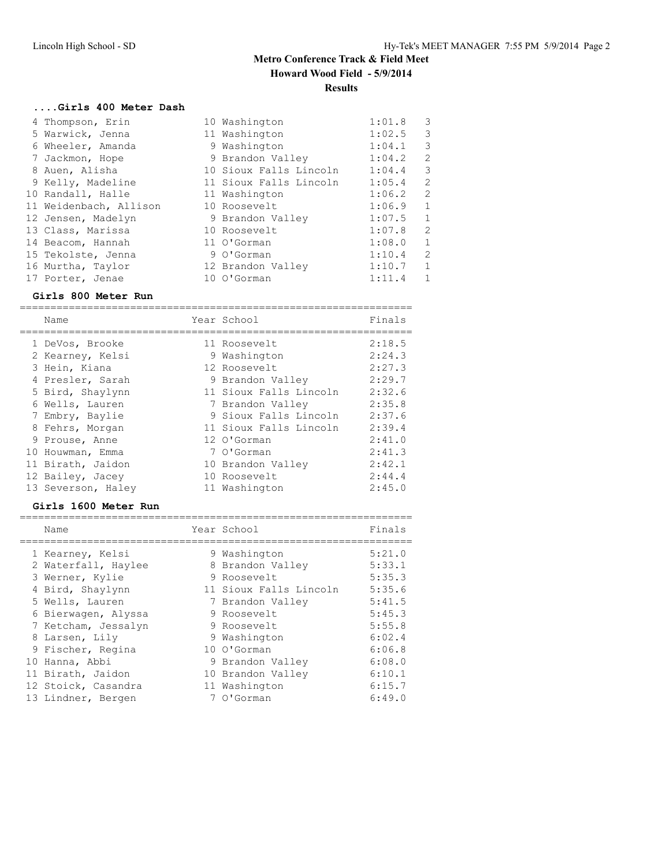## **....Girls 400 Meter Dash**

| 4 Thompson, Erin       | 10 Washington          | 1:01.8 | 3            |
|------------------------|------------------------|--------|--------------|
| 5 Warwick, Jenna       | 11 Washington          | 1:02.5 | 3            |
| 6 Wheeler, Amanda      | 9 Washington           | 1:04.1 | 3            |
| 7 Jackmon, Hope        | 9 Brandon Valley       | 1:04.2 | 2            |
| 8 Auen, Alisha         | 10 Sioux Falls Lincoln | 1:04.4 | 3            |
| 9 Kelly, Madeline      | 11 Sioux Falls Lincoln | 1:05.4 | 2            |
| 10 Randall, Halle      | 11 Washington          | 1:06.2 | 2            |
| 11 Weidenbach, Allison | 10 Roosevelt           | 1:06.9 | 1            |
| 12 Jensen, Madelyn     | 9 Brandon Valley       | 1:07.5 | $\mathbf{1}$ |
| 13 Class, Marissa      | 10 Roosevelt           | 1:07.8 | 2            |
| 14 Beacom, Hannah      | 11 O'Gorman            | 1:08.0 | 1            |
| 15 Tekolste, Jenna     | 9 O'Gorman             | 1:10.4 | 2            |
| 16 Murtha, Taylor      | 12 Brandon Valley      | 1:10.7 | 1            |
| 17 Porter, Jenae       | 10 O'Gorman            | 1:11.4 | $\mathbf{1}$ |

## **Girls 800 Meter Run**

| Name               | Year School            | Finals |
|--------------------|------------------------|--------|
| 1 DeVos, Brooke    | 11 Roosevelt           | 2:18.5 |
| 2 Kearney, Kelsi   | 9 Washington           | 2:24.3 |
| 3 Hein, Kiana      | 12 Roosevelt           | 2:27.3 |
| 4 Presler, Sarah   | 9 Brandon Valley       | 2:29.7 |
| 5 Bird, Shaylynn   | 11 Sioux Falls Lincoln | 2:32.6 |
| 6 Wells, Lauren    | 7 Brandon Valley       | 2:35.8 |
| 7 Embry, Baylie    | 9 Sioux Falls Lincoln  | 2:37.6 |
| 8 Fehrs, Morgan    | 11 Sioux Falls Lincoln | 2:39.4 |
| 9 Prouse, Anne     | 12 O'Gorman            | 2:41.0 |
| 10 Houwman, Emma   | 7 O'Gorman             | 2:41.3 |
| 11 Birath, Jaidon  | 10 Brandon Valley      | 2:42.1 |
| 12 Bailey, Jacey   | 10 Roosevelt           | 2:44.4 |
| 13 Severson, Haley | 11 Washington          | 2:45.0 |

#### **Girls 1600 Meter Run**

| Name                | Year School            | Finals |
|---------------------|------------------------|--------|
| 1 Kearney, Kelsi    | 9 Washington           | 5:21.0 |
| 2 Waterfall, Haylee | 8 Brandon Valley       | 5:33.1 |
| 3 Werner, Kylie     | 9 Roosevelt            | 5:35.3 |
| 4 Bird, Shaylynn    | 11 Sioux Falls Lincoln | 5:35.6 |
| 5 Wells, Lauren     | 7 Brandon Valley       | 5:41.5 |
| 6 Bierwagen, Alyssa | 9 Roosevelt            | 5:45.3 |
| 7 Ketcham, Jessalyn | 9 Roosevelt            | 5:55.8 |
| 8 Larsen, Lily      | 9 Washington           | 6:02.4 |
| 9 Fischer, Regina   | 10 O'Gorman            | 6:06.8 |
| 10 Hanna, Abbi      | 9 Brandon Valley       | 6:08.0 |
| 11 Birath, Jaidon   | 10 Brandon Valley      | 6:10.1 |
| 12 Stoick, Casandra | 11 Washington          | 6:15.7 |
| 13 Lindner, Bergen  | 7 O'Gorman             | 6:49.0 |

================================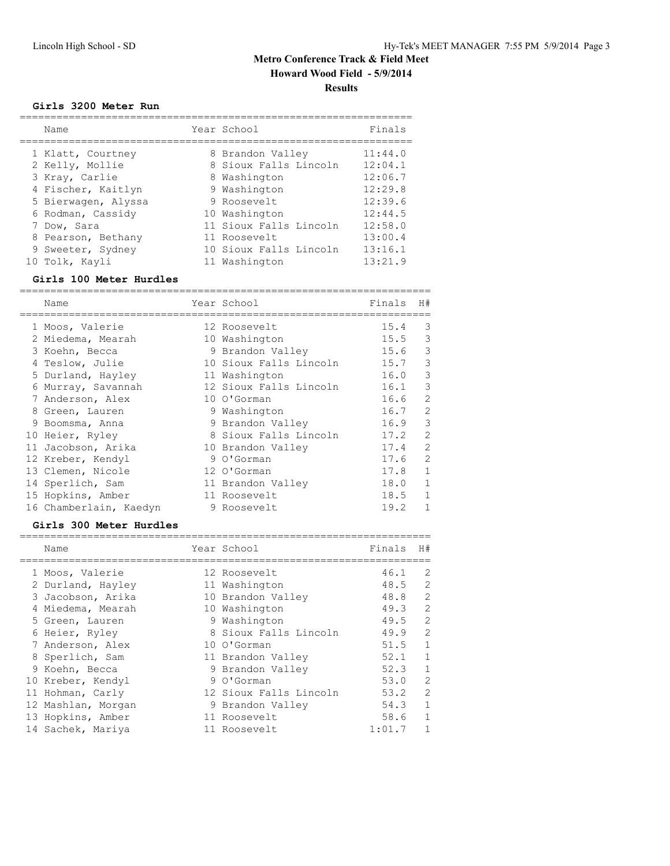## **Girls 3200 Meter Run**

| Name                | Year School            | Finals  |
|---------------------|------------------------|---------|
| 1 Klatt, Courtney   | 8 Brandon Valley       | 11:44.0 |
| 2 Kelly, Mollie     | 8 Sioux Falls Lincoln  | 12:04.1 |
| 3 Kray, Carlie      | 8 Washington           | 12:06.7 |
| 4 Fischer, Kaitlyn  | 9 Washington           | 12:29.8 |
| 5 Bierwagen, Alyssa | 9 Roosevelt            | 12:39.6 |
| 6 Rodman, Cassidy   | 10 Washington          | 12:44.5 |
| 7 Dow, Sara         | 11 Sioux Falls Lincoln | 12:58.0 |
| 8 Pearson, Bethany  | 11 Roosevelt           | 13:00.4 |
| 9 Sweeter, Sydney   | 10 Sioux Falls Lincoln | 13:16.1 |
| 10 Tolk, Kayli      | 11 Washington          | 13:21.9 |

#### **Girls 100 Meter Hurdles**

|   | Name                   | Year School            | Finals | H#             |
|---|------------------------|------------------------|--------|----------------|
|   | 1 Moos, Valerie        | 12 Roosevelt           | 15.4   | 3              |
|   | 2 Miedema, Mearah      | 10 Washington          | 15.5   | 3              |
|   | 3 Koehn, Becca         | 9 Brandon Valley       | 15.6   | 3              |
|   | 4 Teslow, Julie        | 10 Sioux Falls Lincoln | 15.7   | 3              |
|   | 5 Durland, Hayley      | 11 Washington          | 16.0   | 3              |
| 6 | Murray, Savannah       | 12 Sioux Falls Lincoln | 16.1   | 3              |
|   | 7 Anderson, Alex       | 10 O'Gorman            | 16.6   | $\overline{2}$ |
| 8 | Green, Lauren          | 9 Washington           | 16.7   | $\overline{2}$ |
|   | 9 Boomsma, Anna        | 9 Brandon Valley       | 16.9   | 3              |
|   | 10 Heier, Ryley        | 8 Sioux Falls Lincoln  | 17.2   | $\overline{2}$ |
|   | 11 Jacobson, Arika     | 10 Brandon Valley      | 17.4   | $\overline{2}$ |
|   | 12 Kreber, Kendyl      | 9 O'Gorman             | 17.6   | $\overline{2}$ |
|   | 13 Clemen, Nicole      | 12 O'Gorman            | 17.8   | $\mathbf{1}$   |
|   | 14 Sperlich, Sam       | 11 Brandon Valley      | 18.0   | 1              |
|   | 15 Hopkins, Amber      | 11 Roosevelt           | 18.5   | 1              |
|   | 16 Chamberlain, Kaedyn | 9 Roosevelt            | 19.2   | $\mathbf{1}$   |

#### **Girls 300 Meter Hurdles**

| Name               | Year School            | Finals | H#             |
|--------------------|------------------------|--------|----------------|
| 1 Moos, Valerie    | 12 Roosevelt           | 46.1   | 2              |
| 2 Durland, Hayley  | 11 Washington          | 48.5   | 2              |
| 3 Jacobson, Arika  | 10 Brandon Valley      | 48.8   | 2              |
| 4 Miedema, Mearah  | 10 Washington          | 49.3   | 2              |
| 5 Green, Lauren    | 9 Washington           | 49.5   | 2              |
| 6 Heier, Ryley     | 8 Sioux Falls Lincoln  | 49.9   | $\overline{2}$ |
| 7 Anderson, Alex   | 10 O'Gorman            | 51.5   | $\mathbf{1}$   |
| 8 Sperlich, Sam    | 11 Brandon Valley      | 52.1   | $\mathbf{1}$   |
| 9 Koehn, Becca     | 9 Brandon Valley       | 52.3   | 1              |
| 10 Kreber, Kendyl  | 9 O'Gorman             | 53.0   | 2              |
| 11 Hohman, Carly   | 12 Sioux Falls Lincoln | 53.2   | 2              |
| 12 Mashlan, Morgan | 9 Brandon Valley       | 54.3   | $\mathbf{1}$   |
| 13 Hopkins, Amber  | 11 Roosevelt           | 58.6   | 1              |
| 14 Sachek, Mariya  | 11 Roosevelt           | 1:01.7 | $\mathbf{1}$   |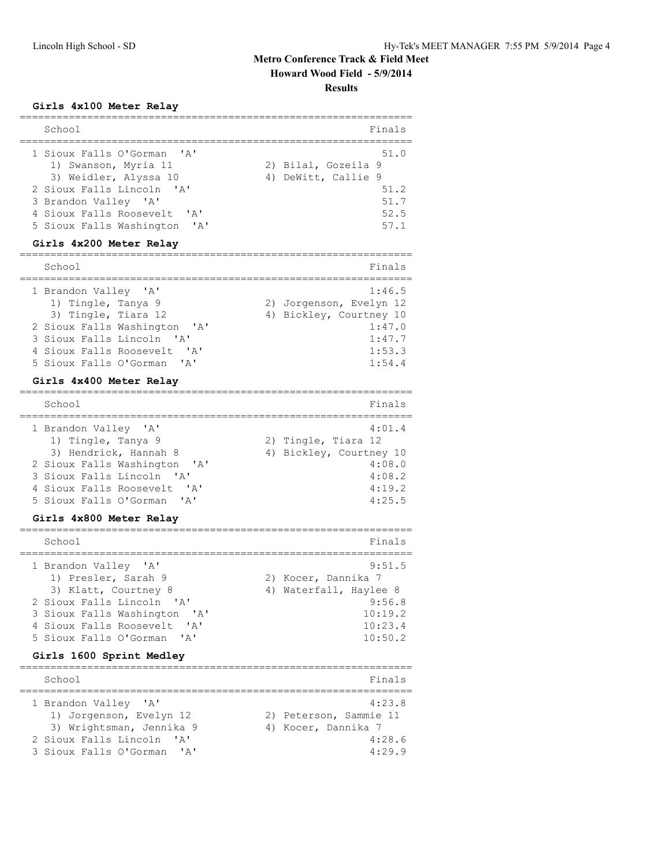## **Girls 4x100 Meter Relay**

| School                                                                      | Finals                                             |
|-----------------------------------------------------------------------------|----------------------------------------------------|
| 1 Sioux Falls O'Gorman 'A'<br>1) Swanson, Myria 11<br>3) Weidler, Alyssa 10 | 51.0<br>2) Bilal, Gozeila 9<br>4) DeWitt, Callie 9 |
| 2 Sioux Falls Lincoln 'A'                                                   | 51.2                                               |
| 3 Brandon Valley 'A'                                                        | 51.7                                               |
| 4 Sioux Falls Roosevelt, 'A'                                                | 52.5                                               |
| 5 Sioux Falls Washington<br>$\mathsf{Z}$                                    | 57.1                                               |

## **Girls 4x200 Meter Relay**

| School                                     | Finals                            |
|--------------------------------------------|-----------------------------------|
| 1 Brandon Valley 'A'<br>1) Tingle, Tanya 9 | 1:46.5<br>2) Jorgenson, Evelyn 12 |
| 3) Tingle, Tiara 12                        | 4) Bickley, Courtney 10           |
| 2 Sioux Falls Washington 'A'               | 1:47.0                            |
| 3 Sioux Falls Lincoln 'A'                  | 1:47.7                            |
| 4 Sioux Falls Roosevelt<br><b>I</b> A      | 1:53.3                            |
| 5 Sioux Falls O'Gorman 'A'                 | 1:54.4                            |

#### **Girls 4x400 Meter Relay**

| School                       | Finals                  |
|------------------------------|-------------------------|
| 1 Brandon Valley 'A'         | 4:01.4                  |
| 1) Tingle, Tanya 9           | 2) Tingle, Tiara 12     |
| 3) Hendrick, Hannah 8        | 4) Bickley, Courtney 10 |
| 2 Sioux Falls Washington 'A' | 4:08.0                  |
| 3 Sioux Falls Lincoln 'A'    | 4:08.2                  |
| 4 Sioux Falls Roosevelt. 'A' | 4:19.2                  |
| 5 Sioux Falls O'Gorman 'A'   | 4:25.5                  |

#### **Girls 4x800 Meter Relay**

| School                                      | Finals                        |
|---------------------------------------------|-------------------------------|
| 1 Brandon Valley 'A'<br>1) Presler, Sarah 9 | 9:51.5<br>2) Kocer, Dannika 7 |
| 3) Klatt, Courtney 8                        | 4) Waterfall, Haylee 8        |
| 2 Sioux Falls Lincoln 'A'                   | 9:56.8                        |
| 3 Sioux Falls Washington 'A'                | 10:19.2                       |
| 4 Sioux Falls Roosevelt. 'A'                | 10:23.4                       |
| 5 Sioux Falls O'Gorman 'A'                  | 10:50.2                       |
|                                             |                               |

## **Girls 1600 Sprint Medley**

| School                                                                                                   | Finals                                                            |
|----------------------------------------------------------------------------------------------------------|-------------------------------------------------------------------|
| 1 Brandon Valley 'A'<br>1) Jorgenson, Evelyn 12<br>3) Wrightsman, Jennika 9<br>2 Sioux Falls Lincoln 'A' | 4:23.8<br>2) Peterson, Sammie 11<br>4) Kocer, Dannika 7<br>4:28.6 |
| 3 Sioux Falls O'Gorman 'A'                                                                               | 4:29.9                                                            |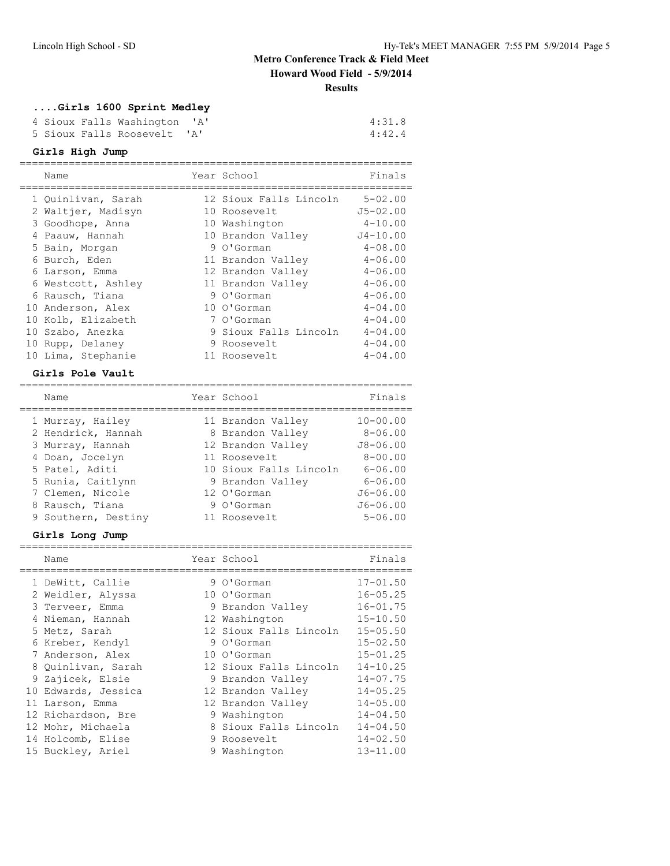# **....Girls 1600 Sprint Medley**

|  | 4 Sioux Falls Washington 'A' |  | 4:31.8 |
|--|------------------------------|--|--------|
|  | 5 Sioux Falls Roosevelt 'A'  |  | 4:42.4 |

## **Girls High Jump**

|    | Name               | Year School            | Finals       |
|----|--------------------|------------------------|--------------|
|    | 1 Quinlivan, Sarah | 12 Sioux Falls Lincoln | $5 - 02.00$  |
|    | 2 Waltjer, Madisyn | 10 Roosevelt           | $J5 - 02.00$ |
|    | 3 Goodhope, Anna   | 10 Washington          | $4 - 10.00$  |
|    | 4 Paauw, Hannah    | 10 Brandon Valley      | $J4 - 10.00$ |
|    | 5 Bain, Morgan     | 9 O'Gorman             | $4 - 08.00$  |
|    | 6 Burch, Eden      | 11 Brandon Valley      | $4 - 06.00$  |
|    | 6 Larson, Emma     | 12 Brandon Valley      | $4 - 06.00$  |
|    | 6 Westcott, Ashley | 11 Brandon Valley      | $4 - 06.00$  |
|    | 6 Rausch, Tiana    | 9 O'Gorman             | $4 - 06.00$  |
|    | 10 Anderson, Alex  | 10 O'Gorman            | $4 - 04.00$  |
|    | 10 Kolb, Elizabeth | 7 O'Gorman             | $4 - 04.00$  |
|    | 10 Szabo, Anezka   | 9 Sioux Falls Lincoln  | $4 - 04.00$  |
| 10 | Rupp, Delaney      | 9 Roosevelt            | $4 - 04.00$  |
|    | 10 Lima, Stephanie | 11 Roosevelt           | $4 - 04.00$  |

#### **Girls Pole Vault**

| Gilia fote vautu    |                        |              |
|---------------------|------------------------|--------------|
| Name                | Year School            | Finals       |
| 1 Murray, Hailey    | 11 Brandon Valley      | $10 - 00.00$ |
| 2 Hendrick, Hannah  | 8 Brandon Valley       | $8 - 06.00$  |
| 3 Murray, Hannah    | 12 Brandon Valley      | $J8 - 06.00$ |
| 4 Doan, Jocelyn     | 11 Roosevelt           | $8 - 00.00$  |
| 5 Patel, Aditi      | 10 Sioux Falls Lincoln | $6 - 06.00$  |
| 5 Runia, Caitlynn   | 9 Brandon Valley       | $6 - 06.00$  |
| 7 Clemen, Nicole    | 12 O'Gorman            | $J6 - 06.00$ |
| 8 Rausch, Tiana     | 9 O'Gorman             | $J6 - 06.00$ |
| 9 Southern, Destiny | 11 Roosevelt           | $5 - 06.00$  |

## **Girls Long Jump**

| Name                | Year School            | Finals       |
|---------------------|------------------------|--------------|
| 1 DeWitt, Callie    | 9 O'Gorman             | $17 - 01.50$ |
| 2 Weidler, Alyssa   | 10 O'Gorman            | $16 - 05.25$ |
| 3 Terveer, Emma     | 9 Brandon Valley       | $16 - 01.75$ |
| 4 Nieman, Hannah    | 12 Washington          | $15 - 10.50$ |
| 5 Metz, Sarah       | 12 Sioux Falls Lincoln | $15 - 05.50$ |
| 6 Kreber, Kendyl    | 9 O'Gorman             | $15 - 02.50$ |
| 7 Anderson, Alex    | 10 O'Gorman            | $15 - 01.25$ |
| 8 Quinlivan, Sarah  | 12 Sioux Falls Lincoln | $14 - 10.25$ |
| 9 Zajicek, Elsie    | 9 Brandon Valley       | $14 - 07.75$ |
| 10 Edwards, Jessica | 12 Brandon Valley      | $14 - 05.25$ |
| 11 Larson, Emma     | 12 Brandon Valley      | $14 - 05.00$ |
| 12 Richardson, Bre  | 9 Washington           | $14 - 04.50$ |
| 12 Mohr, Michaela   | 8 Sioux Falls Lincoln  | $14 - 04.50$ |
| 14 Holcomb, Elise   | 9 Roosevelt            | $14 - 02.50$ |
| 15 Buckley, Ariel   | 9 Washington           | $13 - 11.00$ |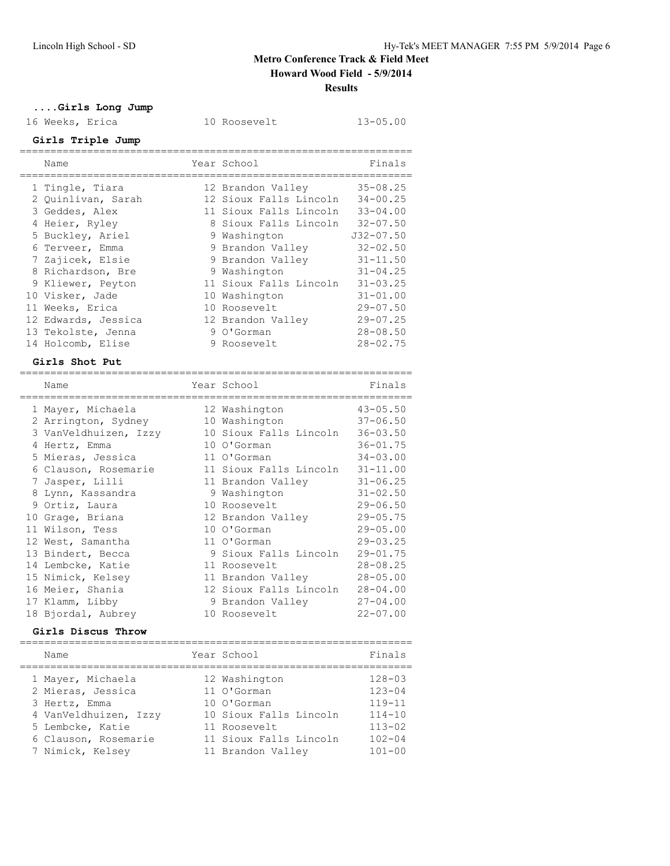10 Roosevelt 13-05.00

# **....Girls Long Jump**

| 16 Weeks,<br>Erica |  |
|--------------------|--|
|--------------------|--|

| Girls Triple Jump                     |                                             |                              |
|---------------------------------------|---------------------------------------------|------------------------------|
| Name                                  | Year School<br>=======================      | Finals                       |
| 1 Tingle, Tiara<br>2 Quinlivan, Sarah | 12 Brandon Valley<br>12 Sioux Falls Lincoln | $35 - 08.25$<br>$34 - 00.25$ |
| 3 Geddes, Alex                        | 11 Sioux Falls Lincoln                      | $33 - 04.00$                 |
| 4 Heier, Ryley                        | 8 Sioux Falls Lincoln                       | $32 - 07.50$                 |
| 5 Buckley, Ariel                      | 9 Washington                                | $J32 - 07.50$                |
| 6 Terveer, Emma                       | 9 Brandon Valley                            | $32 - 02.50$                 |
| 7 Zajicek, Elsie                      | 9 Brandon Valley                            | $31 - 11.50$                 |
| 8 Richardson, Bre                     | 9 Washington                                | $31 - 04.25$                 |
| 9 Kliewer, Peyton                     | 11 Sioux Falls Lincoln                      | $31 - 03.25$                 |
| 10 Visker, Jade                       | 10 Washington                               | $31 - 01.00$                 |
| 11 Weeks, Erica                       | 10 Roosevelt                                | $29 - 07.50$                 |
| 12 Edwards, Jessica                   | 12 Brandon Valley                           | $29 - 07.25$                 |
| 13 Tekolste, Jenna                    | 9 O'Gorman                                  | $28 - 08.50$                 |
| 14 Holcomb, Elise                     | 9 Roosevelt                                 | $28 - 02.75$                 |
| Girls Shot Put                        |                                             |                              |
| Name                                  | Year School                                 | Finals                       |
| $1$ Morrore, Marshands                | $\frac{10}{10}$ Mookington (10.05 FO)       |                              |

| 1 Mayer, Michaela     | 12 Washington          | $43 - 05.50$ |
|-----------------------|------------------------|--------------|
| 2 Arrington, Sydney   | 10 Washington          | $37 - 06.50$ |
| 3 VanVeldhuizen, Izzy | 10 Sioux Falls Lincoln | $36 - 03.50$ |
| 4 Hertz, Emma         | 10 O'Gorman            | $36 - 01.75$ |
| 5 Mieras, Jessica     | 11 O'Gorman            | $34 - 03.00$ |
| 6 Clauson, Rosemarie  | 11 Sioux Falls Lincoln | $31 - 11.00$ |
| 7 Jasper, Lilli       | 11 Brandon Valley      | $31 - 06.25$ |
| 8 Lynn, Kassandra     | 9 Washington           | $31 - 02.50$ |
| 9 Ortiz, Laura        | 10 Roosevelt           | $29 - 06.50$ |
| 10 Grage, Briana      | 12 Brandon Valley      | $29 - 05.75$ |
| 11 Wilson, Tess       | 10 O'Gorman            | $29 - 05.00$ |
| 12 West, Samantha     | 11 O'Gorman            | $29 - 03.25$ |
| 13 Bindert, Becca     | 9 Sioux Falls Lincoln  | $29 - 01.75$ |
| 14 Lembcke, Katie     | 11 Roosevelt           | $28 - 08.25$ |
| 15 Nimick, Kelsey     | 11 Brandon Valley      | $28 - 05.00$ |
| 16 Meier, Shania      | 12 Sioux Falls Lincoln | $28 - 04.00$ |
| 17 Klamm, Libby       | 9 Brandon Valley       | $27 - 04.00$ |
| 18 Bjordal, Aubrey    | 10 Roosevelt           | $22 - 07.00$ |

## **Girls Discus Throw**

| Name                                   | Year School                  | Finals                   |
|----------------------------------------|------------------------------|--------------------------|
| 1 Mayer, Michaela<br>2 Mieras, Jessica | 12 Washington<br>11 O'Gorman | $128 - 03$<br>$123 - 04$ |
| 3 Hertz, Emma                          | 10 O'Gorman                  | $119 - 11$               |
| 4 VanVeldhuizen, Izzy                  | 10 Sioux Falls Lincoln       | $114 - 10$               |
| 5 Lembcke, Katie                       | 11 Roosevelt                 | $113 - 02$               |
| 6 Clauson, Rosemarie                   | 11 Sioux Falls Lincoln       | $102 - 04$               |
| 7 Nimick, Kelsey                       | 11 Brandon Valley            | $101 - 00$               |
|                                        |                              |                          |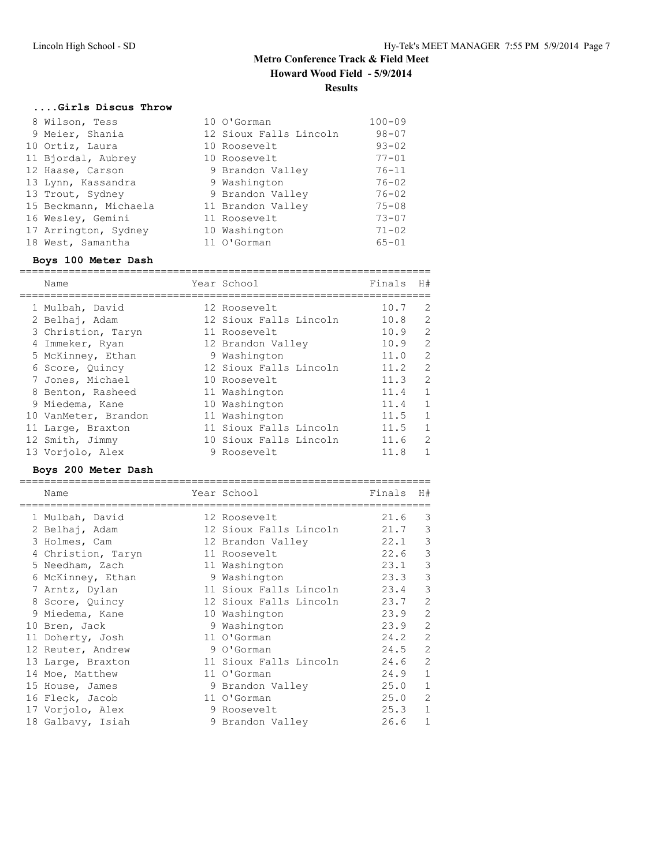# **....Girls Discus Throw**

| 8 Wilson, Tess        | 10 O'Gorman            | $100 - 09$ |
|-----------------------|------------------------|------------|
| 9 Meier, Shania       | 12 Sioux Falls Lincoln | $98 - 07$  |
| 10 Ortiz, Laura       | 10 Roosevelt           | $93 - 02$  |
| 11 Bjordal, Aubrey    | 10 Roosevelt           | $77 - 01$  |
| 12 Haase, Carson      | 9 Brandon Valley       | $76 - 11$  |
| 13 Lynn, Kassandra    | 9 Washington           | $76 - 02$  |
| 13 Trout, Sydney      | 9 Brandon Valley       | $76 - 02$  |
| 15 Beckmann, Michaela | 11 Brandon Valley      | $75 - 08$  |
| 16 Wesley, Gemini     | 11 Roosevelt           | $73 - 07$  |
| 17 Arrington, Sydney  | 10 Washington          | $71 - 02$  |
| 18 West, Samantha     | 11 O'Gorman            | $65 - 01$  |

## **Boys 100 Meter Dash**

| Name                 | Year School            | Finals | H#           |
|----------------------|------------------------|--------|--------------|
|                      |                        |        |              |
| 1 Mulbah, David      | 12 Roosevelt           | 10.7   | 2            |
| 2 Belhaj, Adam       | 12 Sioux Falls Lincoln | 10.8   | 2            |
| 3 Christion, Taryn   | 11 Roosevelt           | 10.9   | 2            |
| 4 Immeker, Ryan      | 12 Brandon Valley      | 10.9   | 2            |
| 5 McKinney, Ethan    | 9 Washington           | 11.0   | 2            |
| 6 Score, Quincy      | 12 Sioux Falls Lincoln | 11.2   | 2            |
| 7 Jones, Michael     | 10 Roosevelt           | 11.3   | 2            |
| 8 Benton, Rasheed    | 11 Washington          | 11.4   | $\mathbf{1}$ |
| 9 Miedema, Kane      | 10 Washington          | 11.4   | 1            |
| 10 VanMeter, Brandon | 11 Washington          | 11.5   | -1           |
| 11 Large, Braxton    | 11 Sioux Falls Lincoln | 11.5   | 1            |
| 12 Smith, Jimmy      | 10 Sioux Falls Lincoln | 11.6   | 2            |
| 13 Vorjolo, Alex     | 9 Roosevelt            | 11.8   | $\mathbf{1}$ |

#### **Boys 200 Meter Dash**

| Name               | Year School            | Finals | H#             |
|--------------------|------------------------|--------|----------------|
| 1 Mulbah, David    | 12 Roosevelt           | 21.6   | 3              |
| 2 Belhaj, Adam     | 12 Sioux Falls Lincoln | 21.7   | 3              |
| 3 Holmes, Cam      | 12 Brandon Valley      | 22.1   | 3              |
| 4 Christion, Taryn | 11 Roosevelt           | 22.6   | 3              |
| 5 Needham, Zach    | 11 Washington          | 23.1   | 3              |
| 6 McKinney, Ethan  | 9 Washington           | 23.3   | 3              |
| 7 Arntz, Dylan     | 11 Sioux Falls Lincoln | 23.4   | 3              |
| 8 Score, Quincy    | 12 Sioux Falls Lincoln | 23.7   | $\overline{2}$ |
| 9 Miedema, Kane    | 10 Washington          | 23.9   | 2              |
| 10 Bren, Jack      | 9 Washington           | 23.9   | $\overline{2}$ |
| 11 Doherty, Josh   | 11 O'Gorman            | 24.2   | $\overline{2}$ |
| 12 Reuter, Andrew  | 9 O'Gorman             | 24.5   | 2              |
| 13 Large, Braxton  | 11 Sioux Falls Lincoln | 24.6   | 2              |
| 14 Moe, Matthew    | 11 O'Gorman            | 24.9   | $\mathbf{1}$   |
| 15 House, James    | 9 Brandon Valley       | 25.0   | $\mathbf{1}$   |
| 16 Fleck, Jacob    | 11 O'Gorman            | 25.0   | $\overline{2}$ |
| 17 Vorjolo, Alex   | 9 Roosevelt            | 25.3   | $\mathbf{1}$   |
| 18 Galbavy, Isiah  | 9 Brandon Valley       | 26.6   | $\mathbf 1$    |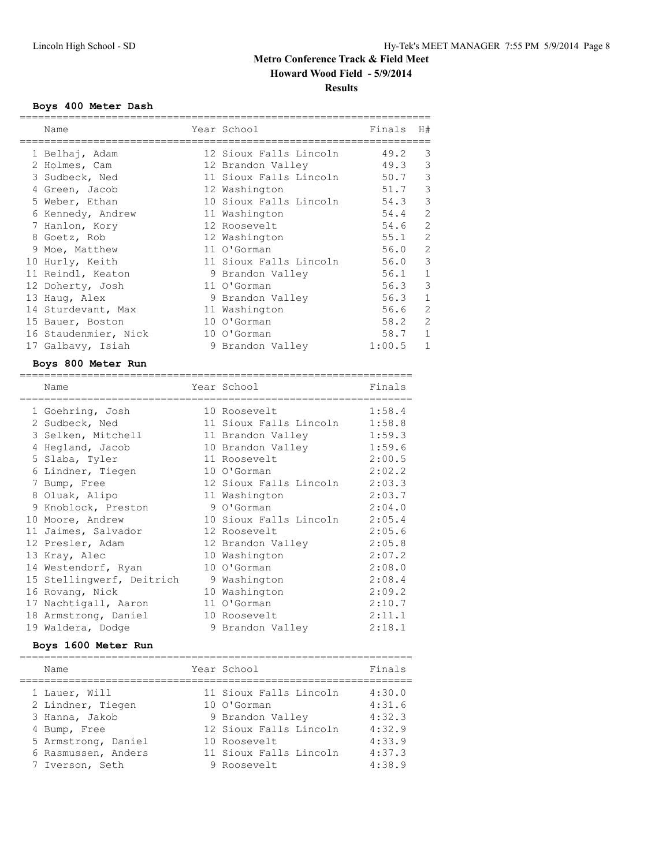## **Boys 400 Meter Dash**

| Name                 | Year School            | Finals   | H#           |
|----------------------|------------------------|----------|--------------|
| 1 Belhaj, Adam       | 12 Sioux Falls Lincoln | 49.2     | 3            |
| 2 Holmes, Cam        | 12 Brandon Valley      | 49.3     | 3            |
| 3 Sudbeck, Ned       | 11 Sioux Falls Lincoln | 50.7     | 3            |
| 4 Green, Jacob       | 12 Washington          | 51.7     | 3            |
| 5 Weber, Ethan       | 10 Sioux Falls Lincoln | 54.3     | 3            |
| 6 Kennedy, Andrew    | 11 Washington          | 54.4     | 2            |
| 7 Hanlon, Kory       | 12 Roosevelt           | 54.6     | 2            |
| 8 Goetz, Rob         | 12 Washington          | 55.1     | 2            |
| 9 Moe, Matthew       | 11 O'Gorman            | $56.0$ 2 |              |
| 10 Hurly, Keith      | 11 Sioux Falls Lincoln | 56.0     | 3            |
| 11 Reindl, Keaton    | 9 Brandon Valley       | 56.1     | $\mathbf{1}$ |
| 12 Doherty, Josh     | 11 O'Gorman            | 56.3     | 3            |
| 13 Haug, Alex        | 9 Brandon Valley       | 56.3     | $\mathbf{1}$ |
| 14 Sturdevant, Max   | 11 Washington          | $56.6$ 2 |              |
| 15 Bauer, Boston     | 10 O'Gorman            | 58.2     | 2            |
| 16 Staudenmier, Nick | 10 O'Gorman            | 58.7     | $\mathbf{1}$ |
| 17 Galbavy, Isiah    | 9 Brandon Valley       | 1:00.5   | $\mathbf{1}$ |

#### **Boys 800 Meter Run**

| Name                      | Year School            | Finals |
|---------------------------|------------------------|--------|
| 1 Goehring, Josh          | 10 Roosevelt           | 1:58.4 |
| 2 Sudbeck, Ned            | 11 Sioux Falls Lincoln | 1:58.8 |
| 3 Selken, Mitchell        | 11 Brandon Valley      | 1:59.3 |
| 4 Hegland, Jacob          | 10 Brandon Valley      | 1:59.6 |
| 5 Slaba, Tyler            | 11 Roosevelt           | 2:00.5 |
| 6 Lindner, Tiegen         | 10 O'Gorman            | 2:02.2 |
| 7 Bump, Free              | 12 Sioux Falls Lincoln | 2:03.3 |
| 8 Oluak, Alipo            | 11 Washington          | 2:03.7 |
| 9 Knoblock, Preston       | 9 O'Gorman             | 2:04.0 |
| 10 Moore, Andrew          | 10 Sioux Falls Lincoln | 2:05.4 |
| 11 Jaimes, Salvador       | 12 Roosevelt           | 2:05.6 |
| 12 Presler, Adam          | 12 Brandon Valley      | 2:05.8 |
| 13 Kray, Alec             | 10 Washington          | 2:07.2 |
| 14 Westendorf, Ryan       | 10 O'Gorman            | 2:08.0 |
| 15 Stellingwerf, Deitrich | 9 Washington           | 2:08.4 |
| 16 Rovang, Nick           | 10 Washington          | 2:09.2 |
| 17 Nachtigall, Aaron      | 11 O'Gorman            | 2:10.7 |
| 18 Armstrong, Daniel      | 10 Roosevelt           | 2:11.1 |
| 19 Waldera, Dodge         | 9 Brandon Valley       | 2:18.1 |
|                           |                        |        |

## **Boys 1600 Meter Run**

| Name                               | Year School                           | Finals           |
|------------------------------------|---------------------------------------|------------------|
| 1 Lauer, Will<br>2 Lindner, Tiegen | 11 Sioux Falls Lincoln<br>10 O'Gorman | 4:30.0<br>4:31.6 |
| 3 Hanna, Jakob                     | 9 Brandon Valley                      | 4:32.3           |
| 4 Bump, Free                       | 12 Sioux Falls Lincoln                | 4:32.9           |
| 5 Armstrong, Daniel                | 10 Roosevelt                          | 4:33.9           |
| 6 Rasmussen, Anders                | 11 Sioux Falls Lincoln                | 4:37.3           |
| 7 Iverson, Seth                    | 9 Roosevelt                           | 4:38.9           |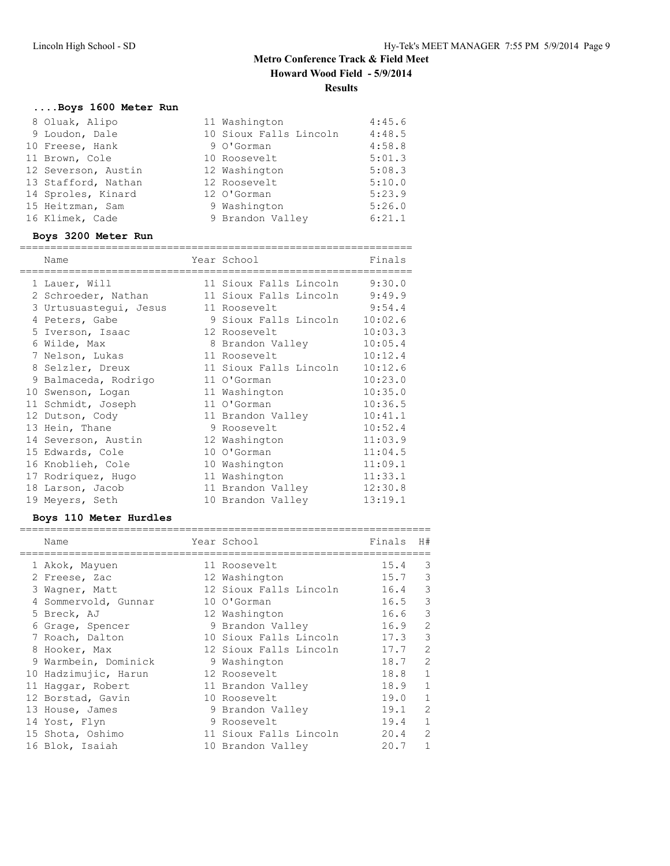# **....Boys 1600 Meter Run**

| 8 Oluak, Alipo      | 11 Washington          | 4:45.6 |
|---------------------|------------------------|--------|
| 9 Loudon, Dale      | 10 Sioux Falls Lincoln | 4:48.5 |
| 10 Freese, Hank     | 9 O'Gorman             | 4:58.8 |
| 11 Brown, Cole      | 10 Roosevelt           | 5:01.3 |
| 12 Severson, Austin | 12 Washington          | 5:08.3 |
| 13 Stafford, Nathan | 12 Roosevelt           | 5:10.0 |
| 14 Sproles, Kinard  | 12 O'Gorman            | 5:23.9 |
| 15 Heitzman, Sam    | 9 Washington           | 5:26.0 |
| 16 Klimek, Cade     | 9 Brandon Valley       | 6:21.1 |
|                     |                        |        |

#### **Boys 3200 Meter Run**

| Name<br>=========================   | Year School            | Finals  |
|-------------------------------------|------------------------|---------|
| 1 Lauer, Will                       | 11 Sioux Falls Lincoln | 9:30.0  |
| 2 Schroeder, Nathan                 | 11 Sioux Falls Lincoln | 9:49.9  |
| 3 Urtusuastegui, Jesus 11 Roosevelt |                        | 9:54.4  |
| 4 Peters, Gabe                      | 9 Sioux Falls Lincoln  | 10:02.6 |
| 5 Iverson, Isaac                    | 12 Roosevelt           | 10:03.3 |
| 6 Wilde, Max                        | 8 Brandon Valley       | 10:05.4 |
| 7 Nelson, Lukas                     | 11 Roosevelt           | 10:12.4 |
| 8 Selzler, Dreux                    | 11 Sioux Falls Lincoln | 10:12.6 |
| 9 Balmaceda, Rodrigo                | 11 O'Gorman            | 10:23.0 |
| 10 Swenson, Logan                   | 11 Washington          | 10:35.0 |
| 11 Schmidt, Joseph                  | 11 O'Gorman            | 10:36.5 |
| 12 Dutson, Cody                     | 11 Brandon Valley      | 10:41.1 |
| 13 Hein, Thane                      | 9 Roosevelt            | 10:52.4 |
| 14 Severson, Austin                 | 12 Washington          | 11:03.9 |
| 15 Edwards, Cole                    | 10 O'Gorman            | 11:04.5 |
| 16 Knoblieh, Cole                   | 10 Washington          | 11:09.1 |
| 17 Rodriquez, Hugo                  | 11 Washington          | 11:33.1 |
| 18 Larson, Jacob                    | 11 Brandon Valley      | 12:30.8 |
| 19 Meyers, Seth                     | 10 Brandon Valley      | 13:19.1 |

## **Boys 110 Meter Hurdles**

| Name                 | Year School            | Finals | H#            |
|----------------------|------------------------|--------|---------------|
| 1 Akok, Mayuen       | 11 Roosevelt           | 15.4   | 3             |
| 2 Freese, Zac        | 12 Washington          | 15.7   | 3             |
| 3 Wagner, Matt       | 12 Sioux Falls Lincoln | 16.4   | 3             |
| 4 Sommervold, Gunnar | 10 O'Gorman            | 16.5   | $\mathcal{S}$ |
| 5 Breck, AJ          | 12 Washington          | 16.6   | $\mathcal{S}$ |
| 6 Grage, Spencer     | 9 Brandon Valley       | 16.9   | $\sqrt{2}$    |
| 7 Roach, Dalton      | 10 Sioux Falls Lincoln | 17.3   | 3             |
| 8 Hooker, Max        | 12 Sioux Falls Lincoln | 17.7   | 2             |
| 9 Warmbein, Dominick | 9 Washington           | 18.7   | 2             |
| 10 Hadzimujic, Harun | 12 Roosevelt           | 18.8   | $\mathbf{1}$  |
| 11 Haqqar, Robert    | 11 Brandon Valley      | 18.9   | $\mathbf{1}$  |
| 12 Borstad, Gavin    | 10 Roosevelt           | 19.0   | $\mathbf{1}$  |
| 13 House, James      | 9 Brandon Valley       | 19.1   | 2             |
| 14 Yost, Flyn        | 9 Roosevelt            | 19.4   | $\mathbf{1}$  |
| 15 Shota, Oshimo     | 11 Sioux Falls Lincoln | 20.4   | 2             |
| 16 Blok, Isaiah      | 10 Brandon Valley      | 20.7   | 1             |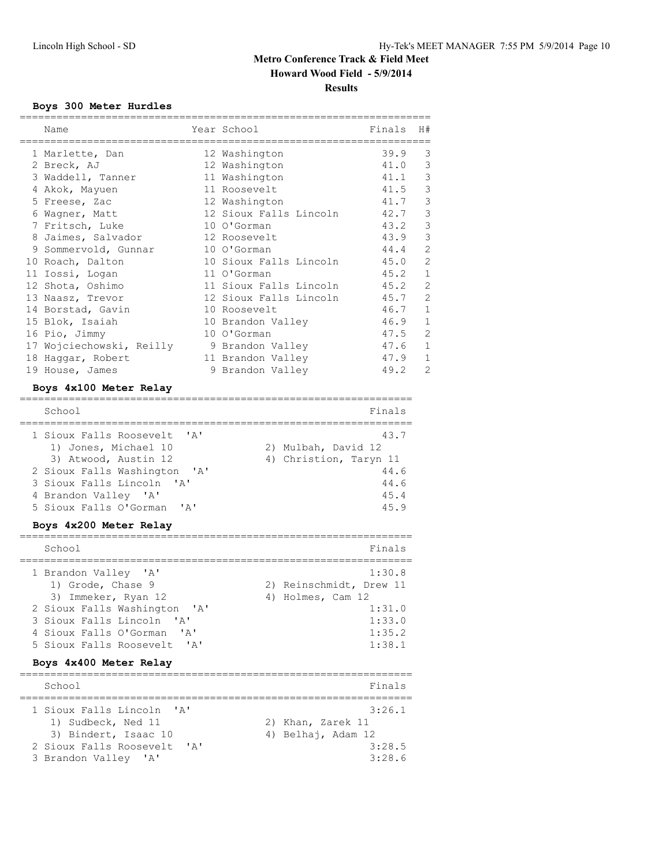## **Boys 300 Meter Hurdles**

| Name                                                |                           | Year School             | Finals | H#             |
|-----------------------------------------------------|---------------------------|-------------------------|--------|----------------|
| 1 Marlette, Dan                                     |                           | 12 Washington           | 39.9   | 3              |
| 2 Breck, AJ                                         |                           | 12 Washington           | 41.0   | 3              |
| 3 Waddell, Tanner                                   |                           | 11 Washington           | 41.1   | 3              |
| 4 Akok, Mayuen                                      |                           | 11 Roosevelt            | 41.5   | 3              |
| 5 Freese, Zac                                       |                           | 12 Washington           | 41.7   | 3              |
| 6 Wagner, Matt                                      |                           | 12 Sioux Falls Lincoln  | 42.7   | 3              |
| 7 Fritsch, Luke                                     |                           | 10 O'Gorman             | 43.2   | 3              |
| 8 Jaimes, Salvador                                  |                           | 12 Roosevelt            | 43.9   | 3              |
| 9 Sommervold, Gunnar                                |                           | 10 O'Gorman             | 44.4   | $\overline{c}$ |
| 10 Roach, Dalton                                    |                           | 10 Sioux Falls Lincoln  | 45.0   | $\overline{c}$ |
| 11 Iossi, Logan                                     |                           | 11 O'Gorman             | 45.2   | $\mathbf 1$    |
| 12 Shota, Oshimo                                    |                           | 11 Sioux Falls Lincoln  | 45.2   | 2              |
| 13 Naasz, Trevor                                    |                           | 12 Sioux Falls Lincoln  | 45.7   | $\overline{2}$ |
| 14 Borstad, Gavin                                   |                           | 10 Roosevelt            | 46.7   | $\mathbf{1}$   |
| 15 Blok, Isaiah                                     |                           | 10 Brandon Valley       | 46.9   | 1              |
| 16 Pio, Jimmy                                       |                           | 10 O'Gorman             | 47.5   | $\overline{2}$ |
| 17 Wojciechowski, Reilly                            |                           | 9 Brandon Valley        | 47.6   | $\mathbf 1$    |
| 18 Haggar, Robert                                   |                           | 11 Brandon Valley       | 47.9   | 1              |
| 19 House, James                                     |                           | 9 Brandon Valley        | 49.2   | $\overline{2}$ |
| Boys 4x100 Meter Relay                              |                           |                         |        |                |
|                                                     |                           |                         |        |                |
| School<br>==================                        |                           |                         | Finals |                |
| 1 Sioux Falls Roosevelt                             | $\mathsf{A}$              |                         | 43.7   |                |
| 1) Jones, Michael 10                                |                           | 2) Mulbah, David 12     |        |                |
| 3) Atwood, Austin 12                                |                           | 4) Christion, Taryn 11  |        |                |
| 2 Sioux Falls Washington                            | 'A'                       |                         | 44.6   |                |
| 3 Sioux Falls Lincoln<br>$\mathsf{A}$               |                           |                         | 44.6   |                |
| 4 Brandon Valley 'A'                                |                           |                         | 45.4   |                |
| 5 Sioux Falls O'Gorman 'A'                          |                           |                         | 45.9   |                |
| Boys 4x200 Meter Relay                              |                           |                         |        |                |
|                                                     |                           |                         |        |                |
| School                                              |                           |                         | Finals |                |
| 1 Brandon Valley 'A'                                |                           |                         | 1:30.8 |                |
| 1) Grode, Chase 9                                   |                           | 2) Reinschmidt, Drew 11 |        |                |
| 3) Immeker, Ryan 12                                 |                           | 4) Holmes, Cam 12       |        |                |
| 2 Sioux Falls Washington                            | ' A '                     |                         | 1:31.0 |                |
| 3 Sioux Falls Lincoln<br>$^{\prime}$ A $^{\prime}$  |                           |                         | 1:33.0 |                |
| 4 Sioux Falls O'Gorman<br>$^{\prime}$ A $^{\prime}$ |                           |                         | 1:35.2 |                |
| 5 Sioux Falls Roosevelt                             | 'A'                       |                         | 1:38.1 |                |
| Boys 4x400 Meter Relay                              |                           |                         |        |                |
| School                                              |                           | ==================      | Finals |                |
| --------------------                                |                           |                         |        |                |
| 1 Sioux Falls Lincoln<br>' A'                       |                           |                         | 3:26.1 |                |
| 1) Sudbeck, Ned 11                                  |                           | 2) Khan, Zarek 11       |        |                |
| 3) Bindert, Isaac 10                                |                           | 4) Belhaj, Adam 12      |        |                |
| 2 Sioux Falls Roosevelt                             | $^{\prime}$ A $^{\prime}$ |                         | 3:28.5 |                |
| 3 Brandon Valley 'A'                                |                           |                         | 3:28.6 |                |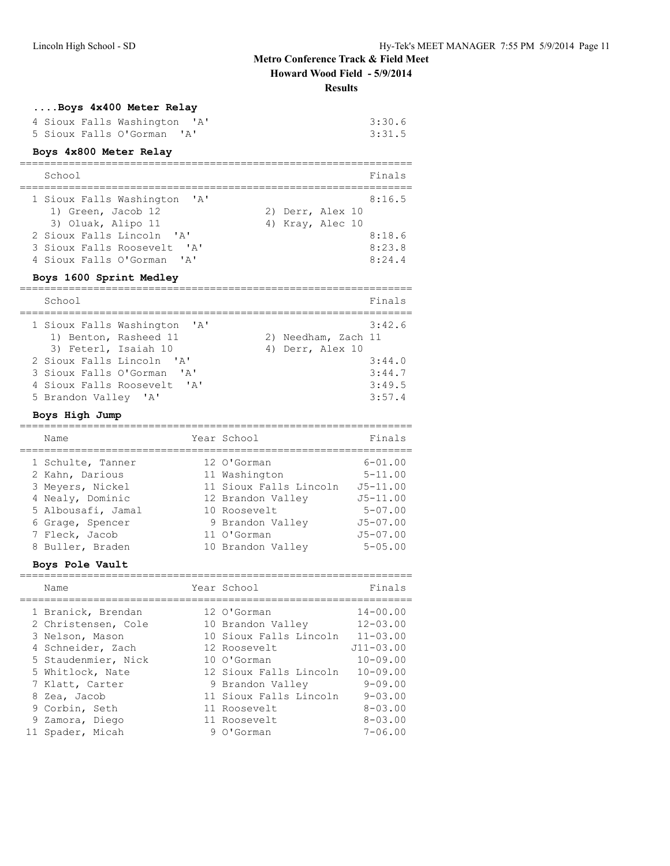# **Metro Conference Track & Field Meet**

**Howard Wood Field - 5/9/2014**

================================================================

**Results**

# **....Boys 4x400 Meter Relay**

|                            | 4 Sioux Falls Washington 'A' | 3:30.6 |
|----------------------------|------------------------------|--------|
| 5 Sioux Falls O'Gorman 'A' |                              | 3:31.5 |
|                            |                              |        |

## **Boys 4x800 Meter Relay**

| School                                                    |                  |  | Finals |
|-----------------------------------------------------------|------------------|--|--------|
| 1 Sioux Falls Washington 'A'                              |                  |  | 8:16.5 |
| 1) Green, Jacob 12                                        | 2) Derr, Alex 10 |  |        |
| 3) Oluak, Alipo 11                                        | 4) Kray, Alec 10 |  |        |
| 2 Sioux Falls Lincoln 'A'                                 |                  |  | 8:18.6 |
| 3 Sioux Falls Roosevelt<br>$\mathsf{I} \wedge \mathsf{I}$ |                  |  | 8:23.8 |
| 4 Sioux Falls O'Gorman 'A'                                |                  |  | 8:24.4 |

## **Boys 1600 Sprint Medley**

| School                                                                        |              |                                         | Finals |
|-------------------------------------------------------------------------------|--------------|-----------------------------------------|--------|
| 1 Sioux Falls Washington 'A'<br>1) Benton, Rasheed 11<br>3) Feterl, Isaiah 10 |              | 2) Needham, Zach 11<br>4) Derr, Alex 10 | 3:42.6 |
| 2 Sioux Falls Lincoln 'A'                                                     |              |                                         | 3:44.0 |
| 3 Sioux Falls O'Gorman                                                        | $\mathsf{A}$ |                                         | 3:44.7 |
| 4 Sioux Falls Roosevelt. 'A'                                                  |              |                                         | 3:49.5 |
| 5 Brandon Valley 'A'                                                          |              |                                         | 3:57.4 |

#### **Boys High Jump**

|  | Name               | Year School            | Finals       |
|--|--------------------|------------------------|--------------|
|  | 1 Schulte, Tanner  | 12 O'Gorman            | $6 - 01.00$  |
|  | 2 Kahn, Darious    | 11 Washington          | $5 - 11.00$  |
|  | 3 Meyers, Nickel   | 11 Sioux Falls Lincoln | $J5 - 11.00$ |
|  | 4 Nealy, Dominic   | 12 Brandon Valley      | $J5 - 11.00$ |
|  | 5 Albousafi, Jamal | 10 Roosevelt           | $5 - 07.00$  |
|  | 6 Grage, Spencer   | 9 Brandon Valley       | $J5 - 07.00$ |
|  | 7 Fleck, Jacob     | 11 O'Gorman            | $J5 - 07.00$ |
|  | 8 Buller, Braden   | 10 Brandon Valley      | $5 - 05.00$  |
|  |                    |                        |              |

#### **Boys Pole Vault**

| Name                                   | Year School                                 | Finals                       |
|----------------------------------------|---------------------------------------------|------------------------------|
| 1 Branick, Brendan                     | 12 O'Gorman                                 | $14 - 00.00$                 |
| 2 Christensen, Cole<br>3 Nelson, Mason | 10 Brandon Valley<br>10 Sioux Falls Lincoln | $12 - 03.00$<br>$11 - 03.00$ |
| 4 Schneider, Zach                      | 12 Roosevelt                                | $J11 - 03.00$                |
| 5 Staudenmier, Nick                    | $10 \Omega$ Gorman                          | $10 - 09.00$                 |
| 5 Whitlock, Nate                       | 12 Sioux Falls Lincoln                      | $10 - 09.00$                 |
| 7 Klatt, Carter                        | 9 Brandon Valley                            | $9 - 09.00$                  |
| 8 Zea, Jacob                           | 11 Sioux Falls Lincoln                      | $9 - 0.3$ , 00               |
| 9 Corbin, Seth                         | 11 Roosevelt                                | $8 - 0.3$ , 00               |
| 9 Zamora, Diego                        | 11 Roosevelt                                | $8 - 0.3$ , 00               |
| 11 Spader, Micah                       | 9 O'Gorman                                  | $7 - 06.00$                  |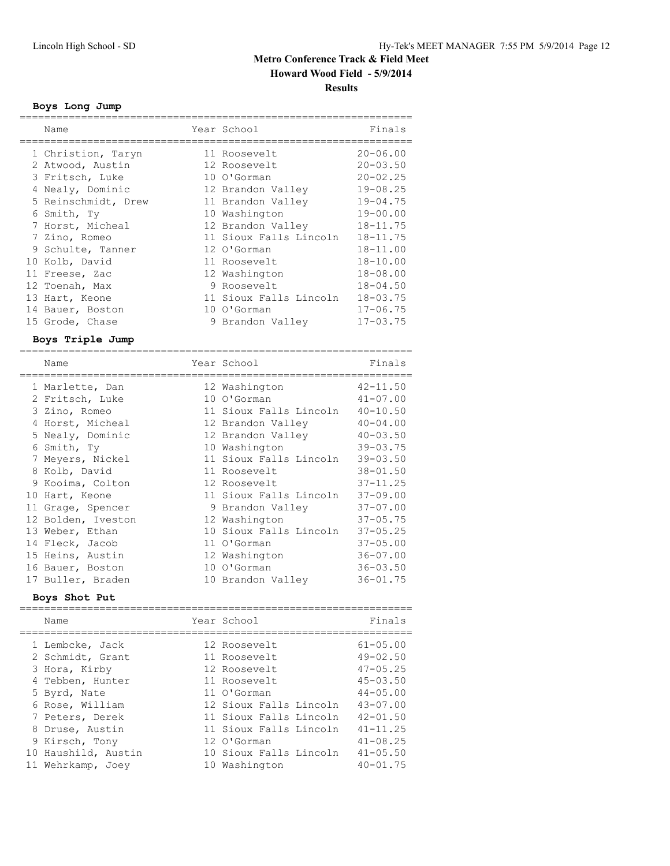## **Boys Long Jump**

| Name                                    | Year School                                    | Finals       |
|-----------------------------------------|------------------------------------------------|--------------|
| 1 Christion, Taryn                      | 11 Roosevelt                                   | $20 - 06.00$ |
| 2 Atwood, Austin                        | 12 Roosevelt                                   | $20 - 03.50$ |
| 3 Fritsch, Luke                         | 10 O'Gorman                                    | $20 - 02.25$ |
| 4 Nealy, Dominic                        | 12 Brandon Valley                              | $19 - 08.25$ |
| 5 Reinschmidt, Drew                     | 11 Brandon Valley                              | $19 - 04.75$ |
| 6 Smith, Ty                             | 10 Washington                                  | $19 - 00.00$ |
| 7 Horst, Micheal                        | 12 Brandon Valley                              | $18 - 11.75$ |
| 7 Zino, Romeo                           | 11 Sioux Falls Lincoln                         | $18 - 11.75$ |
| 9 Schulte, Tanner                       | 12 O'Gorman                                    | $18 - 11.00$ |
| 10 Kolb, David                          | 11 Roosevelt                                   | $18 - 10.00$ |
| 11 Freese, Zac                          | 12 Washington                                  | $18 - 08.00$ |
| 12 Toenah, Max                          | 9 Roosevelt                                    | $18 - 04.50$ |
| 13 Hart, Keone                          | 11 Sioux Falls Lincoln                         | $18 - 03.75$ |
| 14 Bauer, Boston                        | 10 O'Gorman                                    | $17 - 06.75$ |
| 15 Grode, Chase                         | 9 Brandon Valley                               | $17 - 03.75$ |
| Boys Triple Jump                        |                                                |              |
| ===============================<br>Name | _______________________________<br>Year School | Finals       |
| 1 Marlette, Dan                         | 12 Washington                                  | $42 - 11.50$ |
| 2 Fritsch, Luke                         | 10 O'Gorman                                    | 41-07.00     |
| 3 Zino, Romeo                           | 11 Sioux Falls Lincoln 40-10.50                |              |
| 4 Horst, Micheal                        | 12 Brandon Valley                              | $40 - 04.00$ |
| 5 Nealy, Dominic                        | 12 Brandon Valley                              | $40 - 03.50$ |
| 6 Smith, Ty                             | 10 Washington                                  | $39 - 03.75$ |
| 7 Meyers, Nickel                        | 11 Sioux Falls Lincoln                         | $39 - 03.50$ |
| 8 Kolb, David                           | 11 Roosevelt                                   | $38 - 01.50$ |
| Q Kooima Colton                         | $12.6000001$ +                                 | 37-11 25     |

|  | 4 Horst, Micheal   | 12 Brandon Valley          | $40 - 04.00$ |
|--|--------------------|----------------------------|--------------|
|  | 5 Nealy, Dominic   | 12 Brandon Valley 40-03.50 |              |
|  | 6 Smith, Ty        | 10 Washington              | $39 - 03.75$ |
|  | 7 Meyers, Nickel   | 11 Sioux Falls Lincoln     | $39 - 03.50$ |
|  | 8 Kolb, David      | 11 Roosevelt               | $38 - 01.50$ |
|  | 9 Kooima, Colton   | 12 Roosevelt               | $37 - 11.25$ |
|  | 10 Hart, Keone     | 11 Sioux Falls Lincoln     | $37 - 09.00$ |
|  | 11 Grage, Spencer  | 9 Brandon Valley           | $37 - 07.00$ |
|  | 12 Bolden, Iveston | 12 Washington              | $37 - 05.75$ |
|  | 13 Weber, Ethan    | 10 Sioux Falls Lincoln     | $37 - 05.25$ |
|  | 14 Fleck, Jacob    | 11 O'Gorman                | $37 - 05.00$ |
|  | 15 Heins, Austin   | 12 Washington              | $36 - 07.00$ |
|  | 16 Bauer, Boston   | 10 O'Gorman                | $36 - 03.50$ |
|  | 17 Buller, Braden  | 10 Brandon Valley          | $36 - 01.75$ |

#### **Boys Shot Put**

| Name                | Year School            | Finals       |
|---------------------|------------------------|--------------|
| 1 Lembcke, Jack     | 12 Roosevelt           | $61 - 05.00$ |
| 2 Schmidt, Grant    | 11 Roosevelt           | $49 - 02.50$ |
| 3 Hora, Kirby       | 12 Roosevelt           | $47 - 05.25$ |
| 4 Tebben, Hunter    | 11 Roosevelt           | $45 - 03.50$ |
| 5 Byrd, Nate        | 11 O'Gorman            | $44 - 05.00$ |
| 6 Rose, William     | 12 Sioux Falls Lincoln | $43 - 07.00$ |
| 7 Peters, Derek     | 11 Sioux Falls Lincoln | $42 - 01.50$ |
| 8 Druse, Austin     | 11 Sioux Falls Lincoln | $41 - 11.25$ |
| 9 Kirsch, Tony      | 12 O'Gorman            | $41 - 08.25$ |
| 10 Haushild, Austin | 10 Sioux Falls Lincoln | $41 - 05.50$ |
| 11 Wehrkamp, Joey   | 10 Washington          | $40 - 01.75$ |